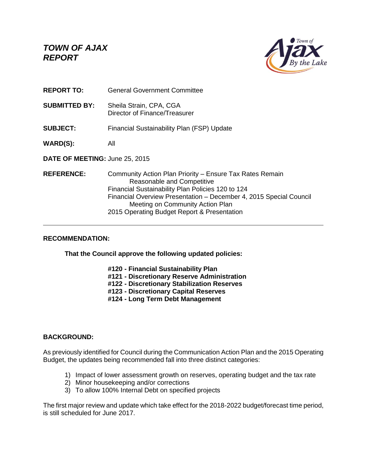*TOWN OF AJAX REPORT*



- **REPORT TO:** General Government Committee
- **SUBMITTED BY:** Sheila Strain, CPA, CGA Director of Finance/Treasurer
- **SUBJECT:** Financial Sustainability Plan (FSP) Update
- **WARD(S):** All
- **DATE OF MEETING:** June 25, 2015
- **REFERENCE:** Community Action Plan Priority Ensure Tax Rates Remain Reasonable and Competitive Financial Sustainability Plan Policies 120 to 124 Financial Overview Presentation – December 4, 2015 Special Council Meeting on Community Action Plan 2015 Operating Budget Report & Presentation

## **RECOMMENDATION:**

**That the Council approve the following updated policies:**

- **#120 - Financial Sustainability Plan**
- **#121 - Discretionary Reserve Administration**
- **#122 - Discretionary Stabilization Reserves**
- **#123 - Discretionary Capital Reserves**
- **#124 - Long Term Debt Management**

## **BACKGROUND:**

As previously identified for Council during the Communication Action Plan and the 2015 Operating Budget, the updates being recommended fall into three distinct categories:

- 1) Impact of lower assessment growth on reserves, operating budget and the tax rate
- 2) Minor housekeeping and/or corrections
- 3) To allow 100% Internal Debt on specified projects

The first major review and update which take effect for the 2018-2022 budget/forecast time period, is still scheduled for June 2017.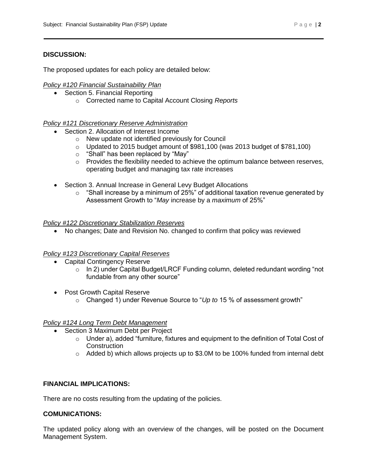### **DISCUSSION:**

The proposed updates for each policy are detailed below:

### *Policy #120 Financial Sustainability Plan*

- Section 5. Financial Reporting
	- o Corrected name to Capital Account Closing *Reports*

## *Policy #121 Discretionary Reserve Administration*

- Section 2. Allocation of Interest Income
	- o New update not identified previously for Council
	- $\circ$  Updated to 2015 budget amount of \$981,100 (was 2013 budget of \$781,100)
	- $\circ$  "Shall" has been replaced by "May"
	- o Provides the flexibility needed to achieve the optimum balance between reserves, operating budget and managing tax rate increases
- Section 3. Annual Increase in General Levy Budget Allocations
	- $\circ$  "Shall increase by a minimum of 25%" of additional taxation revenue generated by Assessment Growth to "*May* increase by a *maximum* of 25%"

### *Policy #122 Discretionary Stabilization Reserves*

No changes; Date and Revision No. changed to confirm that policy was reviewed

#### *Policy #123 Discretionary Capital Reserves*

- Capital Contingency Reserve
	- o In 2) under Capital Budget/LRCF Funding column, deleted redundant wording "not fundable from any other source"
- Post Growth Capital Reserve
	- o Changed 1) under Revenue Source to "*Up to* 15 % of assessment growth"

#### *Policy #124 Long Term Debt Management*

- Section 3 Maximum Debt per Project
	- $\circ$  Under a), added "furniture, fixtures and equipment to the definition of Total Cost of **Construction**
	- $\circ$  Added b) which allows projects up to \$3.0M to be 100% funded from internal debt

## **FINANCIAL IMPLICATIONS:**

There are no costs resulting from the updating of the policies.

#### **COMUNICATIONS:**

The updated policy along with an overview of the changes, will be posted on the Document Management System.